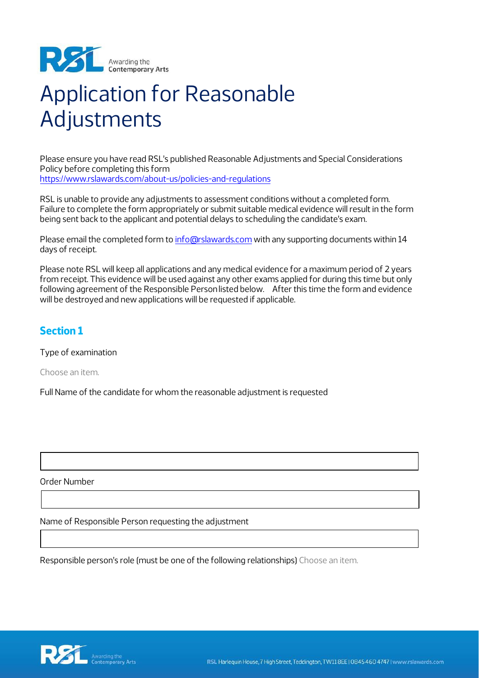

# Application for Reasonable Adjustments

Please ensure you have read RSL's published Reasonable Adjustments and Special Considerations Policy before completing this form <https://www.rslawards.com/about-us/policies-and-regulations>

RSL is unable to provide any adjustments to assessment conditions without a completed form. Failure to complete the form appropriately or submit suitable medical evidence will result in the form being sent back to the applicant and potential delays to scheduling the candidate's exam.

Please email the completed form to [info@rslawards.com](mailto:info@rslawards.com) with any supporting documents within 14 days of receipt.

Please note RSL will keep all applications and any medical evidence for a maximum period of 2 years from receipt. This evidence will be used against any other exams applied for during this time but only following agreement of the Responsible Personlisted below. After this time the form and evidence will be destroyed and new applications will be requested if applicable.

## **Section 1**

Type of examination

Choose an item.

Full Name of the candidate for whom the reasonable adjustment is requested

Order Number

Name of Responsible Person requesting the adjustment

Responsible person's role (must be one of the following relationships) Choose an item.

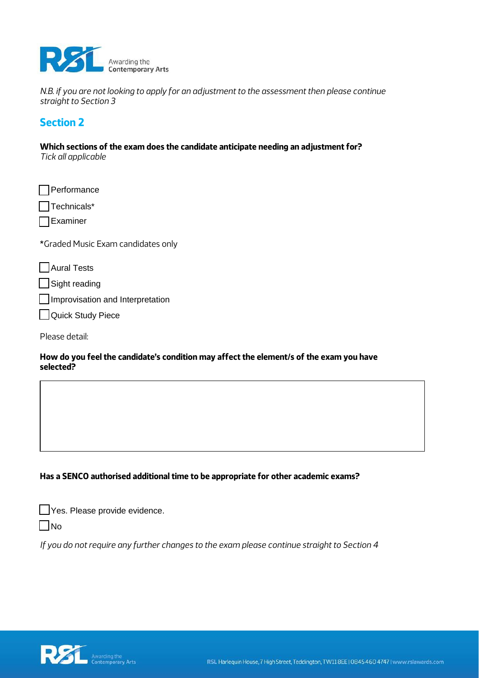

*N.B. if you are not looking to apply for an adjustment to the assessment then please continue straight to Section 3* 

## **Section 2**

**Which sections of the exam does the candidate anticipate needing an adjustment for?**  *Tick all applicable* 

| Performance                        |
|------------------------------------|
| Technicals*                        |
| $\Box$ Examiner                    |
| *Graded Music Exam candidates only |
|                                    |
| Aural Tests                        |
| Sight reading                      |
| Improvisation and Interpretation   |

Please detail:

#### **How do you feel the candidate's condition may affect the element/s of the exam you have selected?**

### **Has a SENCO authorised additional time to be appropriate for other academic exams?**

| Yes. Please provide evidence. |
|-------------------------------|
|-------------------------------|

 $\Box$ No

*If you do not require any further changes to the exam please continue straight to Section 4*